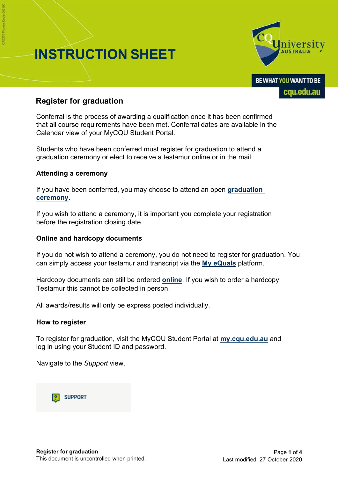# **INSTRUCTION SHEET**



BE WHAT YOU WANT TO BE cqu.edu.au

## **Register for graduation**

Conferral is the process of awarding a qualification once it has been confirmed that all course requirements have been met. Conferral dates are available in the Calendar view of your MyCQU Student Portal.

Students who have been conferred must register for graduation to attend a graduation ceremony or elect to receive a testamur online or in the mail.

#### **Attending a ceremony**

If you have been conferred, you may choose to attend an open **[graduation](http://www.cqu.edu.au/graduation)  [ceremony](http://www.cqu.edu.au/graduation)**.

If you wish to attend a ceremony, it is important you complete your registration before the registration closing date.

#### **Online and hardcopy documents**

If you do not wish to attend a ceremony, you do not need to register for graduation. You can simply access your testamur and transcript via the **[My eQuals](http://www.cqu.edu.au/student-life/academic-awards/my-equals-explained)** platform.

Hardcopy documents can still be ordered **online**. If you wish to order a hardcopy Testamur this cannot be collected in person.

All awards/results will only be express posted individually.

#### **How to register**

To register for graduation, visit the MyCQU Student Portal at **[my.cqu.edu.au](http://my.cqu.edu.au/)** and log in using your Student ID and password.

Navigate to the *Support* view.

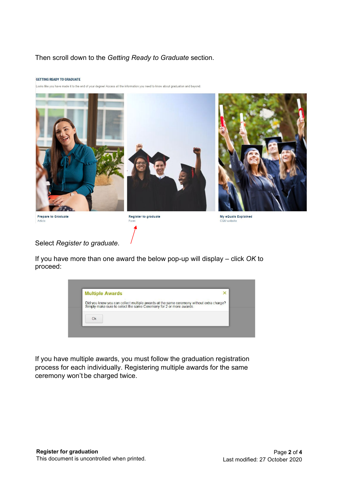### Then scroll down to the *Getting Ready to Graduate* section.

#### **GETTING READY TO GRADUATE**

Looks like you have made it to the end of your degreel Access all the information you need to know about graduation and beyond.



Select *Register to graduate*.

If you have more than one award the below pop-up will display – click *OK* to proceed:



If you have multiple awards, you must follow the graduation registration process for each individually. Registering multiple awards for the same ceremony won't be charged twice.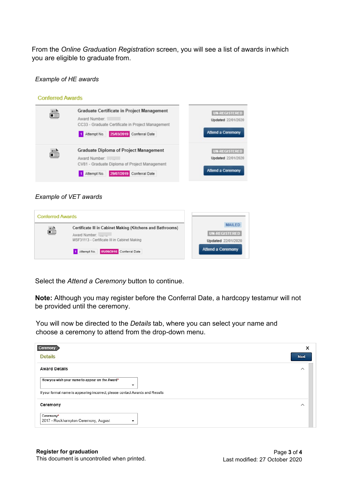From the *Online Graduation Registration* screen, you will see a list of awards inwhich you are eligible to graduate from.

#### *Example of HE awards*



#### *Example of VET awards*

| <b>Conferred Awards</b> |                                                            |                           |
|-------------------------|------------------------------------------------------------|---------------------------|
| ë                       | Certificate III in Cabinet Making (Kitchens and Bathrooms) | <b>MAILED</b>             |
|                         | Award Number:                                              | UN-REGISTERED             |
|                         | MSF31113 - Certificate III in Cabinet Making               | <b>Updated</b> 22/01/2020 |
|                         | 05/09/2016 Conferral Date<br>1 Attempt No.                 | <b>Attend a Ceremony</b>  |

Select the *Attend a Ceremony* button to continue.

**Note:** Although you may register before the Conferral Date, a hardcopy testamur will not be provided until the ceremony.

You will now be directed to the *Details* tab, where you can select your name and choose a ceremony to attend from the drop-down menu.

| Ceremony                                                                      | ×                  |
|-------------------------------------------------------------------------------|--------------------|
| <b>Details</b>                                                                | <b>Next</b>        |
| <b>Award Details</b>                                                          | $\wedge$           |
| How you wish your name to appear on the Award*                                |                    |
| If your formal name is appearing incorrect, please contact Awards and Results |                    |
| Ceremony                                                                      | $\curvearrowright$ |
| Ceremony*<br>2017 - Rockhampton Ceremony, August<br>▼                         |                    |

This document is uncontrolled when printed.